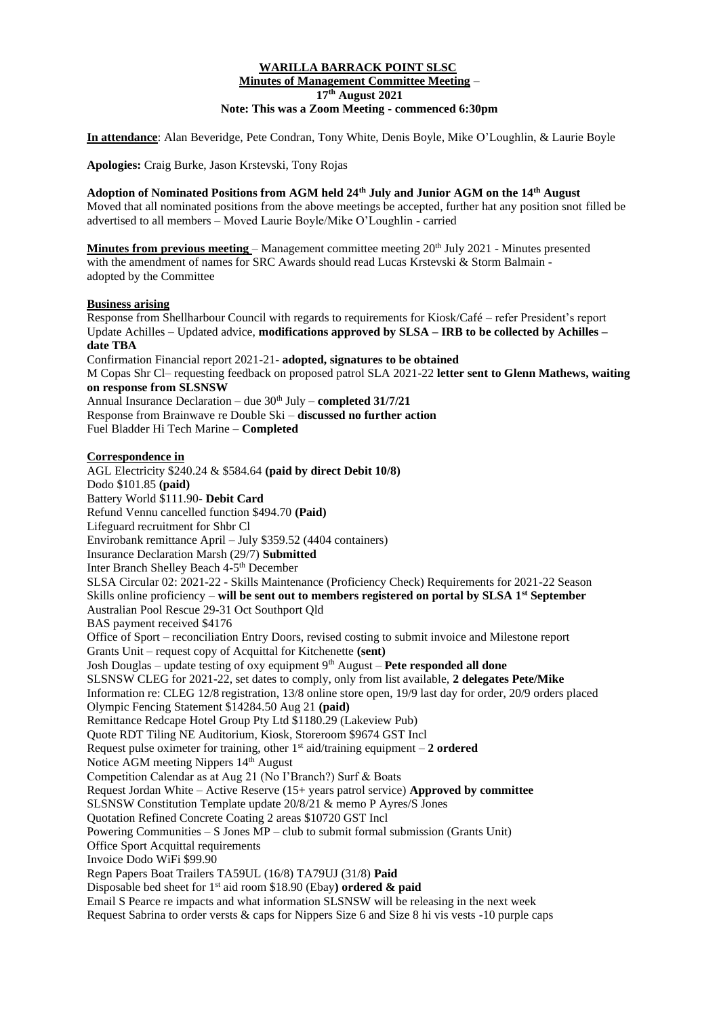### **WARILLA BARRACK POINT SLSC Minutes of Management Committee Meeting** – **17th August 2021 Note: This was a Zoom Meeting - commenced 6:30pm**

**In attendance**: Alan Beveridge, Pete Condran, Tony White, Denis Boyle, Mike O'Loughlin, & Laurie Boyle

**Apologies:** Craig Burke, Jason Krstevski, Tony Rojas

**Adoption of Nominated Positions from AGM held 24th July and Junior AGM on the 14th August** Moved that all nominated positions from the above meetings be accepted, further hat any position snot filled be advertised to all members – Moved Laurie Boyle/Mike O'Loughlin - carried

**Minutes from previous meeting** – Management committee meeting 20<sup>th</sup> July 2021 - Minutes presented with the amendment of names for SRC Awards should read Lucas Krstevski & Storm Balmain adopted by the Committee

### **Business arising**

Response from Shellharbour Council with regards to requirements for Kiosk/Café – refer President's report Update Achilles – Updated advice, **modifications approved by SLSA – IRB to be collected by Achilles – date TBA**

Confirmation Financial report 2021-21- **adopted, signatures to be obtained** M Copas Shr Cl– requesting feedback on proposed patrol SLA 2021-22 **letter sent to Glenn Mathews, waiting on response from SLSNSW** Annual Insurance Declaration – due 30<sup>th</sup> July – **completed 31/7/21** Response from Brainwave re Double Ski – **discussed no further action**

Fuel Bladder Hi Tech Marine – **Completed**

### **Correspondence in**

AGL Electricity \$240.24 & \$584.64 **(paid by direct Debit 10/8)** Dodo \$101.85 **(paid)** Battery World \$111.90- **Debit Card** Refund Vennu cancelled function \$494.70 **(Paid)** Lifeguard recruitment for Shbr Cl Envirobank remittance April – July \$359.52 (4404 containers) Insurance Declaration Marsh (29/7) **Submitted** Inter Branch Shelley Beach 4-5<sup>th</sup> December [SLSA Circular 02:](https://surflifesavingnewsouthwales.cmail19.com/t/d-l-quidtky-tjbtjxs-jh/) 2021-22 - Skills Maintenance (Proficiency Check) Requirements for 2021-22 Season Skills online proficiency – **will be sent out to members registered on portal by SLSA 1st September** Australian Pool Rescue 29-31 Oct Southport Qld BAS payment received \$4176 Office of Sport – reconciliation Entry Doors, revised costing to submit invoice and Milestone report Grants Unit – request copy of Acquittal for Kitchenette **(sent)** Josh Douglas – update testing of oxy equipment 9th August – **Pete responded all done** SLSNSW CLEG for 2021-22, set dates to comply, only from list available, **2 delegates Pete/Mike** Information re: CLEG 12/8 registration, 13/8 online store open, 19/9 last day for order, 20/9 orders placed Olympic Fencing Statement \$14284.50 Aug 21 **(paid)** Remittance Redcape Hotel Group Pty Ltd \$1180.29 (Lakeview Pub) Quote RDT Tiling NE Auditorium, Kiosk, Storeroom \$9674 GST Incl Request pulse oximeter for training, other  $1<sup>st</sup>$  aid/training equipment  $-2$  ordered Notice AGM meeting Nippers 14<sup>th</sup> August Competition Calendar as at Aug 21 (No I'Branch?) Surf & Boats Request Jordan White – Active Reserve (15+ years patrol service) **Approved by committee** SLSNSW Constitution Template update 20/8/21 & memo P Ayres/S Jones Quotation Refined Concrete Coating 2 areas \$10720 GST Incl Powering Communities – S Jones MP – club to submit formal submission (Grants Unit) Office Sport Acquittal requirements Invoice Dodo WiFi \$99.90 Regn Papers Boat Trailers TA59UL (16/8) TA79UJ (31/8) **Paid** Disposable bed sheet for 1st aid room \$18.90 (Ebay**) ordered & paid** Email S Pearce re impacts and what information SLSNSW will be releasing in the next week Request Sabrina to order versts & caps for Nippers Size 6 and Size 8 hi vis vests -10 purple caps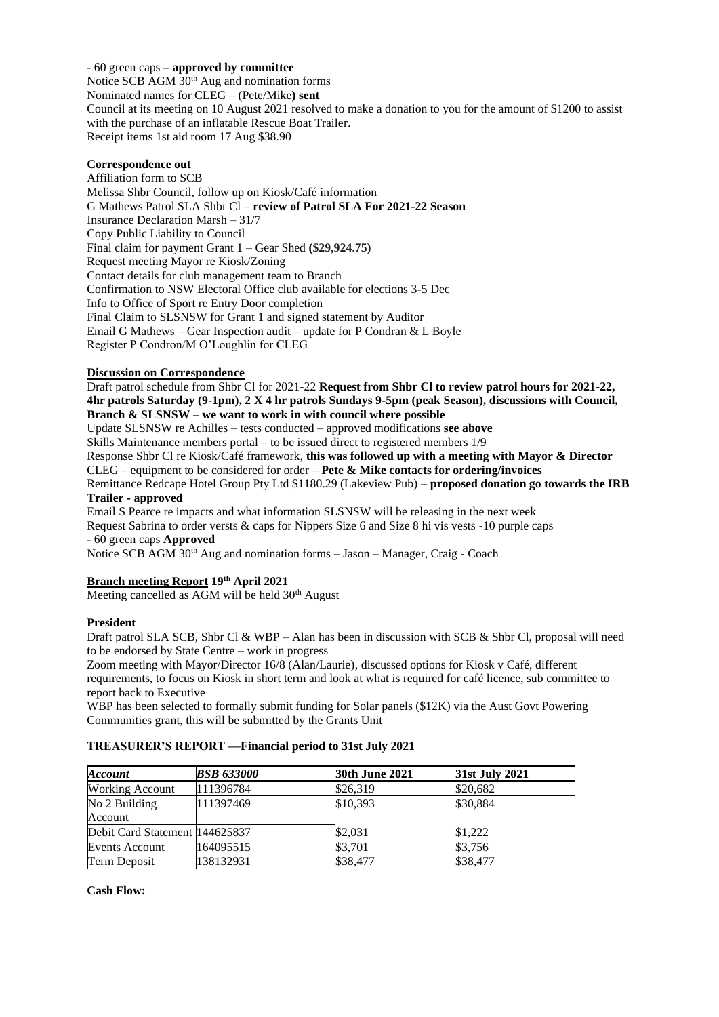- 60 green caps **– approved by committee** Notice SCB AGM 30<sup>th</sup> Aug and nomination forms Nominated names for CLEG – (Pete/Mike**) sent** Council at its meeting on 10 August 2021 resolved to make a donation to you for the amount of \$1200 to assist with the purchase of an inflatable Rescue Boat Trailer. Receipt items 1st aid room 17 Aug \$38.90

## **Correspondence out**

Affiliation form to SCB Melissa Shbr Council, follow up on Kiosk/Café information G Mathews Patrol SLA Shbr Cl – **review of Patrol SLA For 2021-22 Season** Insurance Declaration Marsh – 31/7 Copy Public Liability to Council Final claim for payment Grant 1 – Gear Shed **(\$29,924.75)** Request meeting Mayor re Kiosk/Zoning Contact details for club management team to Branch Confirmation to NSW Electoral Office club available for elections 3-5 Dec Info to Office of Sport re Entry Door completion Final Claim to SLSNSW for Grant 1 and signed statement by Auditor Email G Mathews – Gear Inspection audit – update for P Condran & L Boyle Register P Condron/M O'Loughlin for CLEG

#### **Discussion on Correspondence**

Draft patrol schedule from Shbr Cl for 2021-22 **Request from Shbr Cl to review patrol hours for 2021-22, 4hr patrols Saturday (9-1pm), 2 X 4 hr patrols Sundays 9-5pm (peak Season), discussions with Council, Branch & SLSNSW – we want to work in with council where possible**

Update SLSNSW re Achilles – tests conducted – approved modifications **see above** Skills Maintenance members portal – to be issued direct to registered members 1/9 Response Shbr Cl re Kiosk/Café framework, **this was followed up with a meeting with Mayor & Director**

CLEG – equipment to be considered for order – **Pete & Mike contacts for ordering/invoices** Remittance Redcape Hotel Group Pty Ltd \$1180.29 (Lakeview Pub) – **proposed donation go towards the IRB Trailer - approved**

Email S Pearce re impacts and what information SLSNSW will be releasing in the next week Request Sabrina to order versts & caps for Nippers Size 6 and Size 8 hi vis vests -10 purple caps - 60 green caps **Approved**

Notice SCB AGM 30<sup>th</sup> Aug and nomination forms – Jason – Manager, Craig - Coach

# **Branch meeting Report 19th April 2021**

Meeting cancelled as AGM will be held 30<sup>th</sup> August

#### **President**

Draft patrol SLA SCB, Shbr Cl & WBP – Alan has been in discussion with SCB & Shbr Cl, proposal will need to be endorsed by State Centre – work in progress

Zoom meeting with Mayor/Director 16/8 (Alan/Laurie), discussed options for Kiosk v Café, different requirements, to focus on Kiosk in short term and look at what is required for café licence, sub committee to report back to Executive

WBP has been selected to formally submit funding for Solar panels (\$12K) via the Aust Govt Powering Communities grant, this will be submitted by the Grants Unit

### **TREASURER'S REPORT ––Financial period to 31st July 2021**

| <b>Account</b>                 | <b>BSB 633000</b> | <b>30th June 2021</b> | 31st July 2021 |
|--------------------------------|-------------------|-----------------------|----------------|
| <b>Working Account</b>         | 111396784         | \$26,319              | \$20,682       |
| No 2 Building                  | 111397469         | \$10,393              | \$30,884       |
| Account                        |                   |                       |                |
| Debit Card Statement 144625837 |                   | \$2,031               | \$1.222        |
| <b>Events Account</b>          | 164095515         | \$3,701               | \$3,756        |
| Term Deposit                   | 138132931         | \$38,477              | \$38,477       |

### **Cash Flow:**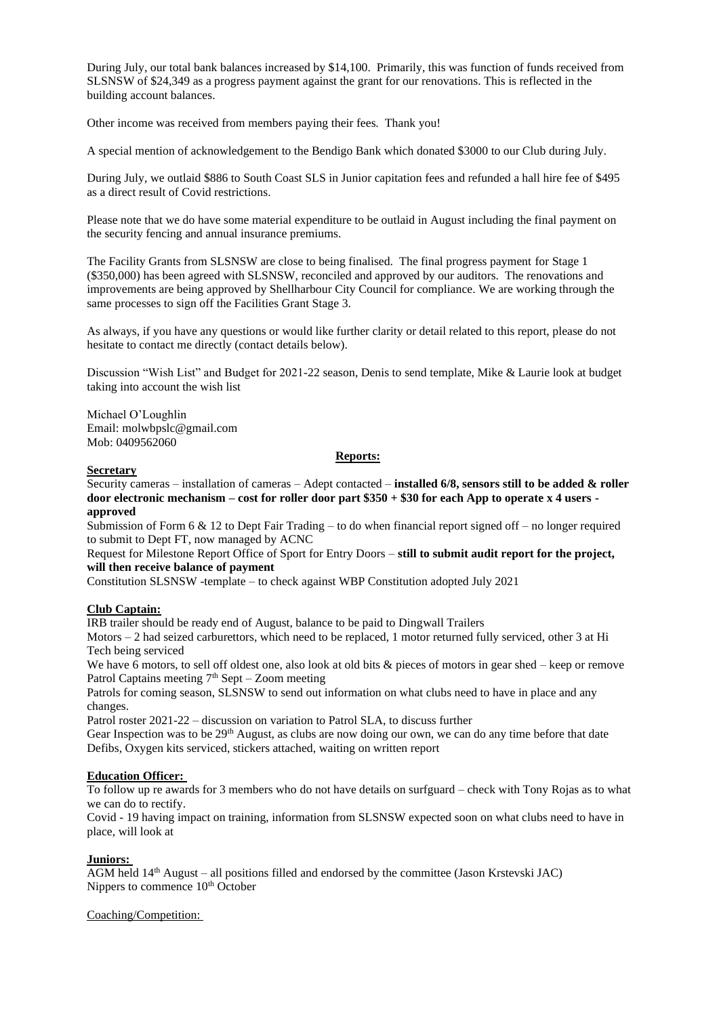During July, our total bank balances increased by \$14,100. Primarily, this was function of funds received from SLSNSW of \$24,349 as a progress payment against the grant for our renovations. This is reflected in the building account balances.

Other income was received from members paying their fees. Thank you!

A special mention of acknowledgement to the Bendigo Bank which donated \$3000 to our Club during July.

During July, we outlaid \$886 to South Coast SLS in Junior capitation fees and refunded a hall hire fee of \$495 as a direct result of Covid restrictions.

Please note that we do have some material expenditure to be outlaid in August including the final payment on the security fencing and annual insurance premiums.

The Facility Grants from SLSNSW are close to being finalised. The final progress payment for Stage 1 (\$350,000) has been agreed with SLSNSW, reconciled and approved by our auditors. The renovations and improvements are being approved by Shellharbour City Council for compliance. We are working through the same processes to sign off the Facilities Grant Stage 3.

As always, if you have any questions or would like further clarity or detail related to this report, please do not hesitate to contact me directly (contact details below).

Discussion "Wish List" and Budget for 2021-22 season, Denis to send template, Mike & Laurie look at budget taking into account the wish list

Michael O'Loughlin Email: [molwbpslc@gmail.com](about:blank) Mob: 0409562060

#### **Reports:**

#### **Secretary**

Security cameras – installation of cameras – Adept contacted – **installed 6/8, sensors still to be added & roller door electronic mechanism – cost for roller door part \$350 + \$30 for each App to operate x 4 users approved**

Submission of Form 6 & 12 to Dept Fair Trading – to do when financial report signed off – no longer required to submit to Dept FT, now managed by ACNC

Request for Milestone Report Office of Sport for Entry Doors – **still to submit audit report for the project, will then receive balance of payment**

Constitution SLSNSW -template – to check against WBP Constitution adopted July 2021

### **Club Captain:**

IRB trailer should be ready end of August, balance to be paid to Dingwall Trailers

Motors – 2 had seized carburettors, which need to be replaced, 1 motor returned fully serviced, other 3 at Hi Tech being serviced

We have 6 motors, to sell off oldest one, also look at old bits  $\&$  pieces of motors in gear shed – keep or remove Patrol Captains meeting  $7<sup>th</sup>$  Sept – Zoom meeting

Patrols for coming season, SLSNSW to send out information on what clubs need to have in place and any changes.

Patrol roster 2021-22 – discussion on variation to Patrol SLA, to discuss further Gear Inspection was to be 29<sup>th</sup> August, as clubs are now doing our own, we can do any time before that date Defibs, Oxygen kits serviced, stickers attached, waiting on written report

### **Education Officer:**

To follow up re awards for 3 members who do not have details on surfguard – check with Tony Rojas as to what we can do to rectify.

Covid - 19 having impact on training, information from SLSNSW expected soon on what clubs need to have in place, will look at

### **Juniors:**

 $\overline{AGM}$  held 14<sup>th</sup> August – all positions filled and endorsed by the committee (Jason Krstevski JAC) Nippers to commence  $10<sup>th</sup>$  October

### Coaching/Competition: